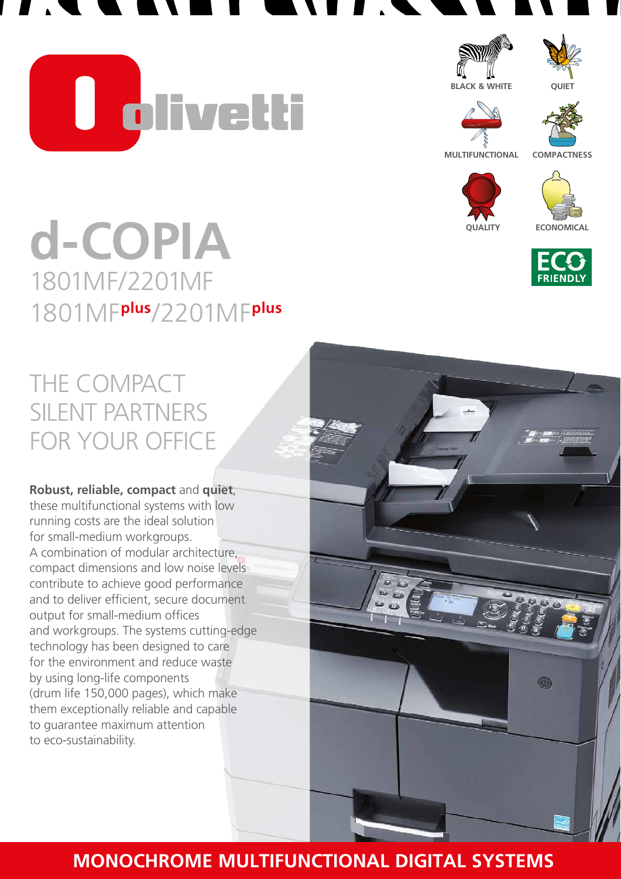**U divetti** 





**BLACK & WHITE**

**QUIET**



**MULTIFUNCTIONAL**

**COMPACTNESS**



**ECONOMICAL**



 $^{\circ}$ 

# **d-COPIA** 1801MF/2201MF 1801MF**plus**/2201MF**plus**

## THE COMPACT SILENT PARTNERS FOR YOUR OFFICE

#### **Robust, reliable, compact** and **quiet**, these multifunctional systems with low

running costs are the ideal solution for small-medium workgroups. A combination of modular architecture, compact dimensions and low noise levels contribute to achieve good performance and to deliver efficient, secure document output for small-medium offices and workgroups. The systems cutting-edge technology has been designed to care for the environment and reduce waste by using long-life components (drum life 150,000 pages), which make them exceptionally reliable and capable to guarantee maximum attention to eco-sustainability.

## **MONOCHROME MULTIFUNCTIONAL DIGITAL SYSTEMS**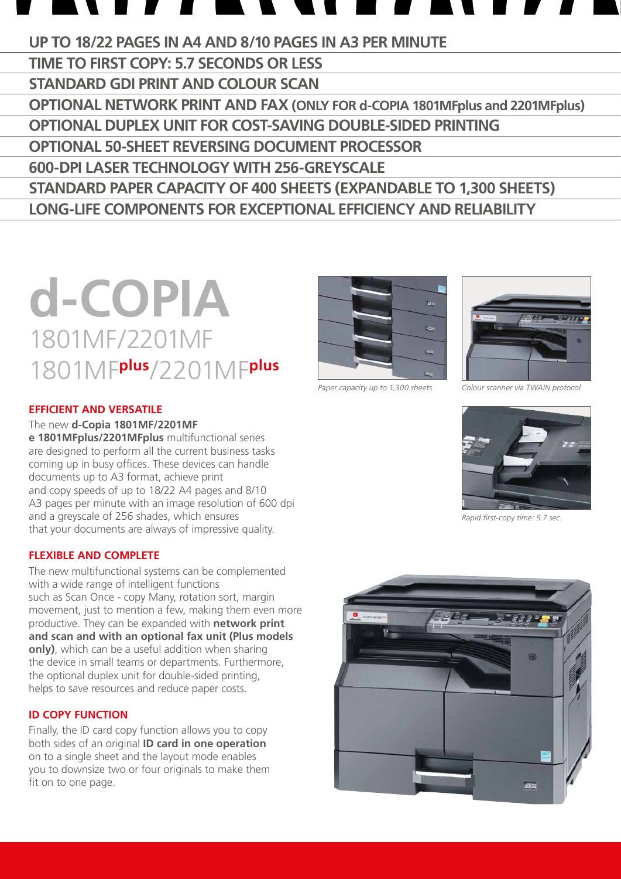## **UP TO 18/22 PAGES IN A4 AND 8/10 PAGES IN A3 PER MINUTE**

**TIME TO FIRST COPY: 5.7 SECONDS OR LESS STANDARD GDI PRINT AND COLOUR SCAN OPTIONAL NETWORK PRINT AND FAX (ONLY FOR d-COPIA 1801MFplus and 2201MFplus) OPTIONAL DUPLEX UNIT FOR COST-SAVING DOUBLE-SIDED PRINTING OPTIONAL 50-SHEET REVERSING DOCUMENT PROCESSOR 600-DPI LASER TECHNOLOGY WITH 256-GREYSCALE STANDARD PAPER CAPACITY OF 400 SHEETS (EXPANDABLE TO 1,300 SHEETS) LONG-LIFE COMPONENTS FOR EXCEPTIONAL EFFICIENCY AND RELIABILITY** 

## **d-COPIA** 1801MF/2201MF 1801MF**plus**/2201MF**plus**

#### **EFFICIENT and VERSATILE**

The new **d-Copia 1801MF/2201MF**

**e 1801MFplus/2201MFplus** multifunctional series are designed to perform all the current business tasks coming up in busy offices. These devices can handle documents up to A3 format, achieve print and copy speeds of up to 18/22 A4 pages and 8/10 A3 pages per minute with an image resolution of 600 dpi and a greyscale of 256 shades, which ensures that your documents are always of impressive quality.

#### **FLEXIBLE and COMPLETE**

The new multifunctional systems can be complemented with a wide range of intelligent functions such as Scan Once - copy Many, rotation sort, margin movement, just to mention a few, making them even more productive. They can be expanded with **network print and scan and with an optional fax unit (Plus models only)**, which can be a useful addition when sharing the device in small teams or departments. Furthermore, the optional duplex unit for double-sided printing, helps to save resources and reduce paper costs.

#### **ID COPY FUNCTION**

Finally, the ID card copy function allows you to copy both sides of an original **ID card in one operation** on to a single sheet and the layout mode enables you to downsize two or four originals to make them fit on to one page.



*Paper capacity up to 1,300 sheets Colour scanner via TWAIN protocol*





*Rapid first-copy time: 5.7 sec.*

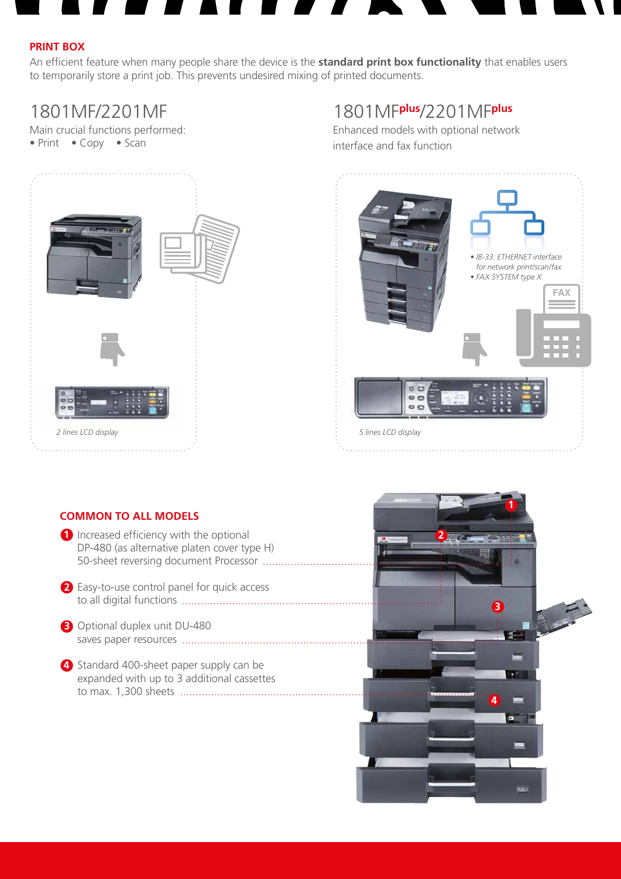#### **PRINT BOX**

An efficient feature when many people share the device is the **standard print box functionality** that enables users to temporarily store a print job. This prevents undesired mixing of printed documents.

## 1801MF/2201MF

Main crucial functions performed: • Print • Copy • Scan



## 1801MF**plus**/2201MF**plus**

Enhanced models with optional network interface and fax function



#### **COMMON TO ALL MODELS**

- **1** Increased efficiency with the optional DP-480 (as alternative platen cover type H) 50-sheet reversing document Processor
- 2. Easy-to-use control panel for quick access **2** to all digital functions
- 3. Optional duplex unit DU-480 **3** saves paper resources
- 4. Standard 400-sheet paper supply can be **4** expanded with up to 3 additional cassettes to max. 1,300 sheets